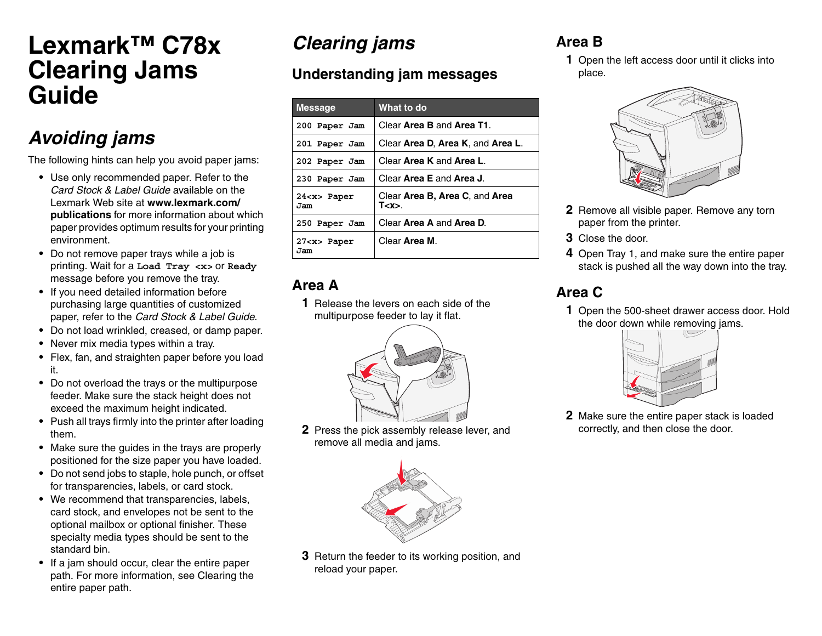# **Lexmark™ C78x Clearing Jams Guide**

# *Avoiding jams*

The following hints can help you avoid paper jams:

- **•** Use only recommended paper. Refer to the *Card Stock & Label Guide* available on the Lexmark Web site at **www.lexmark.com/publications** for more information about which paper provides optimum results for your printing environment.
- **•** Do not remove paper trays while a job is printing. Wait for a **Load Tray <x>** or **Ready** message before you remove the tray.
- **•** If you need detailed information before purchasing large quantities of customized paper, refer to the *Card Stock & Label Guide*.
- **•** Do not load wrinkled, creased, or damp paper.
- **•** Never mix media types within a tray.
- **•** Flex, fan, and straighten paper before you load it.
- **•** Do not overload the trays or the multipurpose feeder. Make sure the stack height does not exceed the maximum height indicated.
- **•** Push all trays firmly into the printer after loading them.
- **•** Make sure the guides in the trays are properly positioned for the size paper you have loaded.
- **•** Do not send jobs to staple, hole punch, or offset for transparencies, labels, or card stock.
- **•** We recommend that transparencies, labels, card stock, and envelopes not be sent to the optional mailbox or optional finisher. These specialty media types should be sent to the standard bin.
- **•** If a jam should occur, clear the entire paper path. For more information, see Clearing the entire paper path.

# *Clearing jams*

## **Understanding jam messages**

| <b>Message</b>          | What to do                                  |
|-------------------------|---------------------------------------------|
| 200 Paper Jam           | Clear Area B and Area T1.                   |
| 201 Paper Jam           | Clear Area D. Area K, and Area L.           |
| 202 Paper Jam           | Clear Area K and Area L.                    |
| 230 Paper Jam           | Clear Area E and Area J.                    |
| $24 < x >$ Paper<br>Jam | Clear Area B. Area C. and Area<br>T < x > 0 |
| 250 Paper Jam           | Clear Area A and Area D.                    |
| $27 < x >$ Paper<br>Jam | Clear <b>Area M</b> .                       |

#### **Area A**

**1** Release the levers on each side of the multipurpose feeder to lay it flat.



**2** Press the pick assembly release lever, and remove all media and jams.



**3** Return the feeder to its working position, and reload your paper.

## **Area B**

**1** Open the left access door until it clicks into place.



- **2** Remove all visible paper. Remove any torn paper from the printer.
- **3** Close the door.
- **4** Open Tray 1, and make sure the entire paper stack is pushed all the way down into the tray.

## **Area C**

**1** Open the 500-sheet drawer access door. Hold the door down while removing jams.



**2** Make sure the entire paper stack is loaded correctly, and then close the door.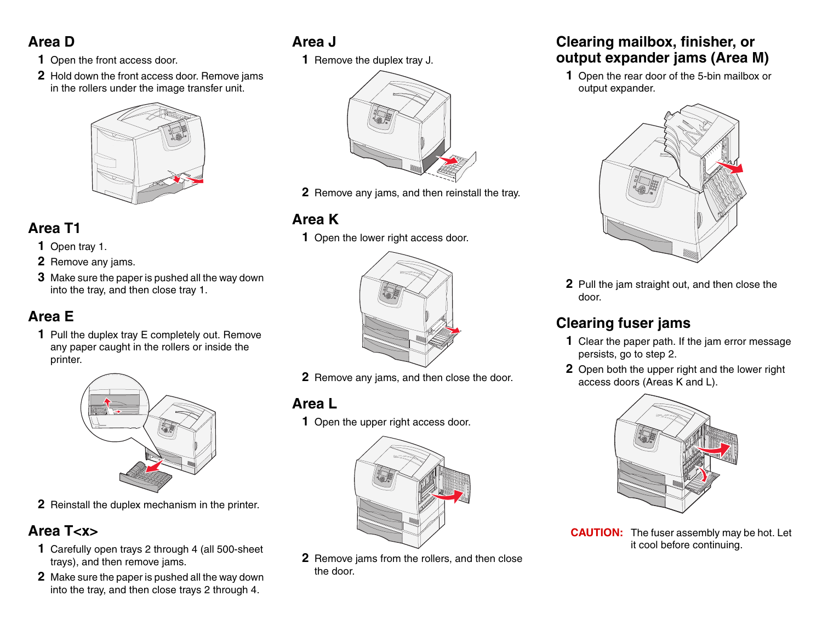### **Area D**

- **1** Open the front access door.
- **2** Hold down the front access door. Remove jams in the rollers under the image transfer unit.



#### **Area T1**

- **1** Open tray 1.
- **2** Remove any jams.
- **3** Make sure the paper is pushed all the way down into the tray, and then close tray 1.

#### **Area E**

**1** Pull the duplex tray E completely out. Remove any paper caught in the rollers or inside the printer.



**2** Reinstall the duplex mechanism in the printer.

### **Area T<x>**

- **1** Carefully open trays 2 through 4 (all 500-sheet trays), and then remove jams.
- **2** Make sure the paper is pushed all the way down into the tray, and then close trays 2 through 4.

# **Area J**

**1** Remove the duplex tray J.



**2** Remove any jams, and then reinstall the tray.

## **Area K**

**1** Open the lower right access door.



**2** Remove any jams, and then close the door.

#### **Area L**

**1** Open the upper right access door.



**2** Remove jams from the rollers, and then close the door.

#### **Clearing mailbox, finisher, or output expander jams (Area M)**

**1** Open the rear door of the 5-bin mailbox or output expander.



**2** Pull the jam straight out, and then close the door.

# **Clearing fuser jams**

- **1** Clear the paper path. If the jam error message persists, go to step 2.
- **2** Open both the upper right and the lower right access doors (Areas K and L).



**CAUTION:** The fuser assembly may be hot. Let it cool before continuing.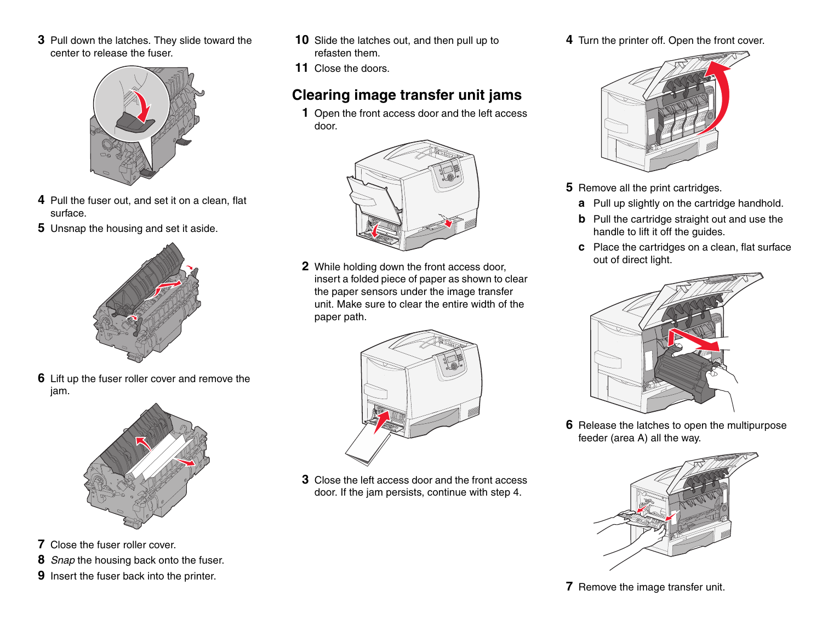**3** Pull down the latches. They slide toward the center to release the fuser.



- **4** Pull the fuser out, and set it on a clean, flat surface.
- **5** Unsnap the housing and set it aside.



**6** Lift up the fuser roller cover and remove the jam.



- **7** Close the fuser roller cover.
- **8** *Snap* the housing back onto the fuser.
- **9** Insert the fuser back into the printer.
- **10** Slide the latches out, and then pull up to refasten them.
- **11** Close the doors.

## **Clearing image transfer unit jams**

**1** Open the front access door and the left access door.



**2** While holding down the front access door, insert a folded piece of paper as shown to clear the paper sensors under the image transfer unit. Make sure to clear the entire width of the paper path.



**3** Close the left access door and the front access door. If the jam persists, continue with step 4.

**4** Turn the printer off. Open the front cover.



- **5** Remove all the print cartridges.
	- **a** Pull up slightly on the cartridge handhold.
	- **b** Pull the cartridge straight out and use the handle to lift it off the guides.
	- **c** Place the cartridges on a clean, flat surface out of direct light.



**6** Release the latches to open the multipurpose feeder (area A) all the way.



**7** Remove the image transfer unit.